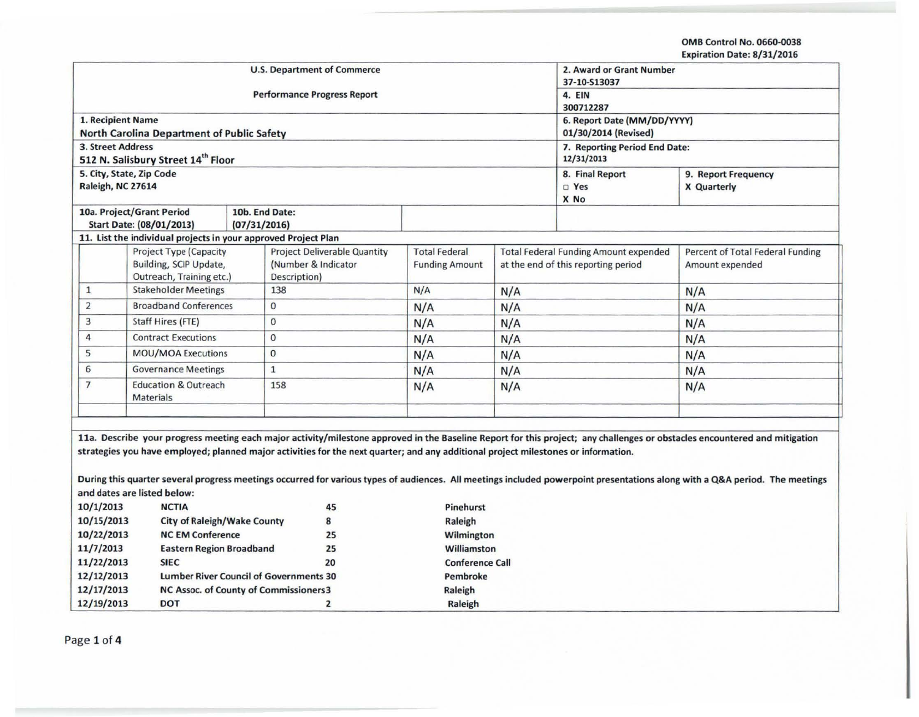OMB Control No. 0660-0038 Expiration Date: 8/31/2016

|                                                                                                                            |                                                         |                                               | <b>U.S. Department of Commerce</b>                                                                                                 |                                    | 2. Award or Grant Number<br>37-10-S13037                                            |                          |                                                                                                                                                                             |  |  |
|----------------------------------------------------------------------------------------------------------------------------|---------------------------------------------------------|-----------------------------------------------|------------------------------------------------------------------------------------------------------------------------------------|------------------------------------|-------------------------------------------------------------------------------------|--------------------------|-----------------------------------------------------------------------------------------------------------------------------------------------------------------------------|--|--|
|                                                                                                                            |                                                         |                                               | <b>Performance Progress Report</b>                                                                                                 |                                    | 4. EIN<br>300712287                                                                 |                          |                                                                                                                                                                             |  |  |
|                                                                                                                            | 1. Recipient Name                                       |                                               |                                                                                                                                    | 6. Report Date (MM/DD/YYYY)        |                                                                                     |                          |                                                                                                                                                                             |  |  |
|                                                                                                                            | North Carolina Department of Public Safety              |                                               |                                                                                                                                    |                                    | 01/30/2014 (Revised)                                                                |                          |                                                                                                                                                                             |  |  |
| 3. Street Address                                                                                                          |                                                         |                                               |                                                                                                                                    |                                    | 7. Reporting Period End Date:                                                       |                          |                                                                                                                                                                             |  |  |
|                                                                                                                            | 512 N. Salisbury Street 14th Floor                      |                                               |                                                                                                                                    |                                    | 12/31/2013                                                                          |                          |                                                                                                                                                                             |  |  |
| Raleigh, NC 27614                                                                                                          | 5. City, State, Zip Code                                |                                               |                                                                                                                                    |                                    |                                                                                     | 8. Final Report<br>D Yes | 9. Report Frequency<br><b>X</b> Quarterly                                                                                                                                   |  |  |
|                                                                                                                            |                                                         |                                               |                                                                                                                                    |                                    |                                                                                     | X No                     |                                                                                                                                                                             |  |  |
| 10a. Project/Grant Period                                                                                                  |                                                         |                                               | 10b. End Date:                                                                                                                     |                                    |                                                                                     |                          |                                                                                                                                                                             |  |  |
|                                                                                                                            | Start Date: (08/01/2013)                                | (07/31/2016)                                  |                                                                                                                                    |                                    |                                                                                     |                          |                                                                                                                                                                             |  |  |
| 11. List the individual projects in your approved Project Plan<br><b>Total Federal</b><br>Percent of Total Federal Funding |                                                         |                                               |                                                                                                                                    |                                    |                                                                                     |                          |                                                                                                                                                                             |  |  |
|                                                                                                                            | <b>Project Type (Capacity</b><br>Building, SCIP Update, |                                               | <b>Project Deliverable Quantity</b><br>(Number & Indicator                                                                         | <b>Funding Amount</b>              | <b>Total Federal Funding Amount expended</b><br>at the end of this reporting period |                          | Amount expended                                                                                                                                                             |  |  |
|                                                                                                                            | Outreach, Training etc.)                                |                                               | Description)                                                                                                                       |                                    |                                                                                     |                          |                                                                                                                                                                             |  |  |
| $\mathbf{1}$                                                                                                               | <b>Stakeholder Meetings</b>                             |                                               | 138                                                                                                                                | N/A                                | N/A                                                                                 |                          | N/A                                                                                                                                                                         |  |  |
| $\overline{2}$                                                                                                             | <b>Broadband Conferences</b>                            |                                               | $\bf{0}$                                                                                                                           | N/A                                | N/A                                                                                 |                          | N/A                                                                                                                                                                         |  |  |
| $\overline{3}$                                                                                                             | <b>Staff Hires (FTE)</b>                                |                                               | 0                                                                                                                                  | N/A                                | N/A                                                                                 |                          | N/A                                                                                                                                                                         |  |  |
| $\overline{4}$                                                                                                             | <b>Contract Executions</b>                              |                                               | $\mathbf{0}$                                                                                                                       | N/A                                | N/A                                                                                 |                          | N/A                                                                                                                                                                         |  |  |
| 5                                                                                                                          | <b>MOU/MOA Executions</b>                               |                                               | $\mathbf{0}$                                                                                                                       | N/A                                | N/A                                                                                 |                          | N/A                                                                                                                                                                         |  |  |
| 6                                                                                                                          | <b>Governance Meetings</b>                              |                                               | $\mathbf{1}$                                                                                                                       | N/A                                | N/A                                                                                 |                          | N/A                                                                                                                                                                         |  |  |
| $\overline{7}$                                                                                                             | <b>Education &amp; Outreach</b><br><b>Materials</b>     |                                               | 158                                                                                                                                | N/A                                | N/A                                                                                 |                          | N/A                                                                                                                                                                         |  |  |
|                                                                                                                            |                                                         |                                               |                                                                                                                                    |                                    |                                                                                     |                          |                                                                                                                                                                             |  |  |
|                                                                                                                            |                                                         |                                               |                                                                                                                                    |                                    |                                                                                     |                          |                                                                                                                                                                             |  |  |
|                                                                                                                            |                                                         |                                               |                                                                                                                                    |                                    |                                                                                     |                          | 11a. Describe your progress meeting each major activity/milestone approved in the Baseline Report for this project; any challenges or obstacles encountered and mitigation  |  |  |
|                                                                                                                            |                                                         |                                               | strategies you have employed; planned major activities for the next quarter; and any additional project milestones or information. |                                    |                                                                                     |                          |                                                                                                                                                                             |  |  |
|                                                                                                                            |                                                         |                                               |                                                                                                                                    |                                    |                                                                                     |                          | During this quarter several progress meetings occurred for various types of audiences. All meetings included powerpoint presentations along with a Q&A period. The meetings |  |  |
|                                                                                                                            | and dates are listed below:                             |                                               |                                                                                                                                    |                                    |                                                                                     |                          |                                                                                                                                                                             |  |  |
| 10/1/2013<br><b>NCTIA</b>                                                                                                  |                                                         |                                               | 45                                                                                                                                 | Pinehurst                          |                                                                                     |                          |                                                                                                                                                                             |  |  |
| 10/15/2013                                                                                                                 |                                                         | <b>City of Raleigh/Wake County</b><br>8       |                                                                                                                                    | Raleigh                            |                                                                                     |                          |                                                                                                                                                                             |  |  |
| 10/22/2013                                                                                                                 |                                                         | <b>NC EM Conference</b><br>25                 |                                                                                                                                    | Wilmington                         |                                                                                     |                          |                                                                                                                                                                             |  |  |
| 11/7/2013                                                                                                                  |                                                         | <b>Eastern Region Broadband</b>               |                                                                                                                                    | Williamston                        |                                                                                     |                          |                                                                                                                                                                             |  |  |
| 11/22/2013                                                                                                                 | <b>SIEC</b>                                             | 20                                            |                                                                                                                                    | <b>Conference Call</b><br>Pembroke |                                                                                     |                          |                                                                                                                                                                             |  |  |
| 12/12/2013                                                                                                                 |                                                         | <b>Lumber River Council of Governments 30</b> |                                                                                                                                    |                                    |                                                                                     |                          |                                                                                                                                                                             |  |  |
| 12/17/2013                                                                                                                 |                                                         | NC Assoc. of County of Commissioners3         |                                                                                                                                    | Raleigh                            |                                                                                     |                          |                                                                                                                                                                             |  |  |
| 12/19/2013                                                                                                                 |                                                         | <b>DOT</b><br>$\overline{\mathbf{z}}$         |                                                                                                                                    | Raleigh                            |                                                                                     |                          |                                                                                                                                                                             |  |  |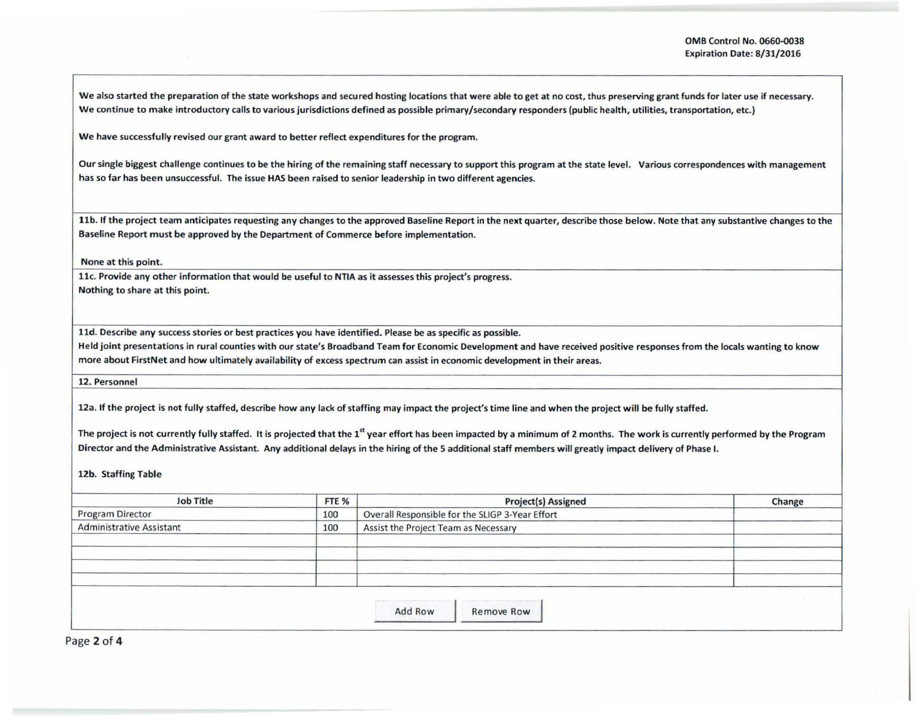We also started the preparation of the state workshops and secured hosting locations that were able to get at no cost, thus preserving grant funds for later use if necessary. We continue to make introductory calls to various jurisdictions defined as possible primary/secondary responders (public health, utilities, transportation, etc.)

We have successfully revised our grant award to better reflect expenditures for the program.

Our single biggest challenge continues to be the hiring of the remaining staff necessary to support this program at the state level. Various correspondences with management has so far has been unsuccessful. The issue HAS been raised to senior leadership in two different agencies.

11b. If the project team anticipates requesting any changes to the approved Baseline Report in the next quarter, describe those below. Note that any substantive changes to the Baseline Report must be approved by the Department of Commerce before implementation.

None at this point.

llc. Provide any other information that would be useful to NTIA as it assesses this project's progress. Nothing to share at this point.

lld. Describe any success stories or best practices you have identified. Please be as specific as possible.

Held joint presentations in rural counties with our state's Broadband Team for Economic Development and have received positive responses from the locals wanting to know more about FirstNet and how ultimately availability of excess spectrum can assist in economic development in their areas.

12. Personnel

12a. If the project is not fully staffed, describe how any lack of staffing may impact the project's time line and when the project will be fully staffed.

The project is not currently fully staffed. It is projected that the  $1<sup>st</sup>$  year effort has been impacted by a minimum of 2 months. The work is currently performed by the Program Director and the Administrative Assistant. Any additional delays in the hiring of the S additional staff members will greatly impact delivery of Phase I.

12b. Staffing Table

| <b>Program Director</b><br>Overall Responsible for the SLIGP 3-Year Effort<br>100<br>100 |                                      |  |  |  |  |  |  |
|------------------------------------------------------------------------------------------|--------------------------------------|--|--|--|--|--|--|
| <b>Administrative Assistant</b>                                                          |                                      |  |  |  |  |  |  |
|                                                                                          | Assist the Project Team as Necessary |  |  |  |  |  |  |
|                                                                                          |                                      |  |  |  |  |  |  |
|                                                                                          |                                      |  |  |  |  |  |  |
|                                                                                          |                                      |  |  |  |  |  |  |

Page 2 of 4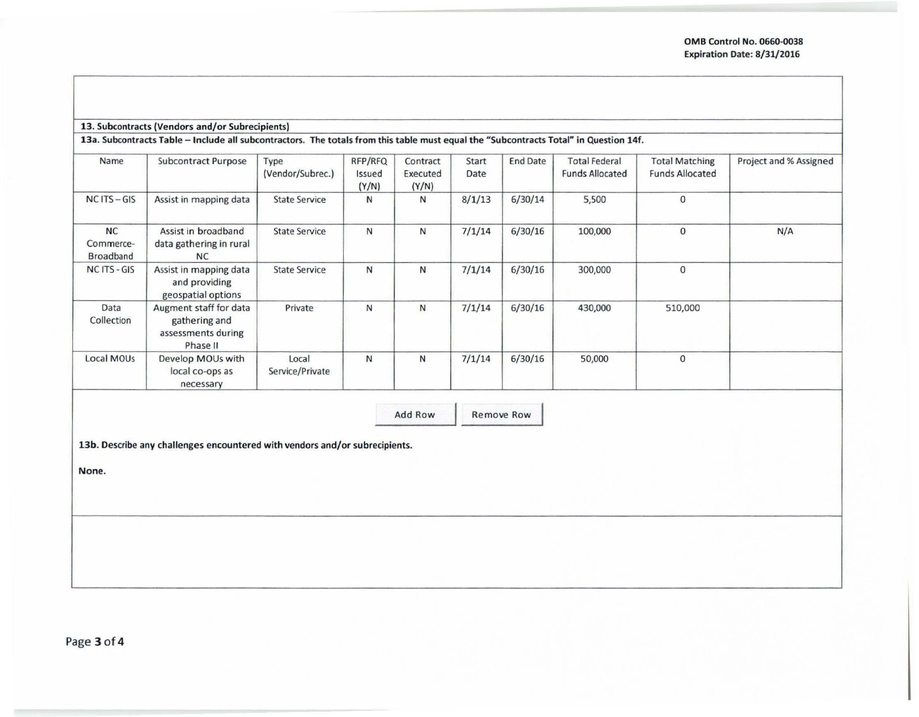-

I

## 13. Subcontracts (Vendors and/or Subrecipients)

13a. Subcontracts Table - Include all subcontractors. The totals from this table must equal the "Subcontracts Total" in Question 14f.

| Name                                       | <b>Subcontract Purpose</b>                                                | Type<br>(Vendor/Subrec.) | RFP/RFQ<br>Issued<br>(Y/N) | Contract<br>Executed<br>(Y/N) | Start<br>Date | <b>End Date</b> | <b>Total Federal</b><br><b>Funds Allocated</b> | <b>Total Matching</b><br><b>Funds Allocated</b> | Project and % Assigned |
|--------------------------------------------|---------------------------------------------------------------------------|--------------------------|----------------------------|-------------------------------|---------------|-----------------|------------------------------------------------|-------------------------------------------------|------------------------|
| $NC$ ITS $-GIS$                            | Assist in mapping data                                                    | <b>State Service</b>     | N                          | N                             | 8/1/13        | 6/30/14         | 5,500                                          | $\Omega$                                        |                        |
| <b>NC</b><br>Commerce-<br><b>Broadband</b> | Assist in broadband<br>data gathering in rural<br><b>NC</b>               | <b>State Service</b>     | $\mathsf{N}$               | N                             | 7/1/14        | 6/30/16         | 100,000                                        | $\mathbf{0}$                                    | N/A                    |
| <b>NC ITS - GIS</b>                        | Assist in mapping data<br>and providing<br>geospatial options             | <b>State Service</b>     | N                          | N                             | 7/1/14        | 6/30/16         | 300,000                                        | 0                                               |                        |
| Data<br>Collection                         | Augment staff for data<br>gathering and<br>assessments during<br>Phase II | Private                  | N                          | N                             | 7/1/14        | 6/30/16         | 430,000                                        | 510,000                                         |                        |
| Local MOUs                                 | Develop MOUs with<br>local co-ops as<br>necessary                         | Local<br>Service/Private | N                          | N                             | 7/1/14        | 6/30/16         | 50,000                                         | $\Omega$                                        |                        |

Add Row Remove Row

13b. Describe any challenges encountered with vendors and/or subrecipients.

None.

------ -